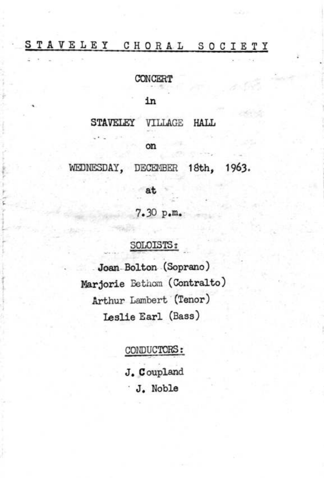## STAVELEY CHORAL SOCIETY

CONCERT

in

STAVELEY VILLAGE HALL

on

WEDNESDAY, DECEMBER 18th, 1963.

at

7.30 p.m.

## SOLOISTS:

Joan-Bolton (Soprano) Marjorie Bethom (Contralto) Arthur Lambert (Tenor) Leslie Earl (Bass)

## CONDUCTORS:

J. Coupland J. Noble